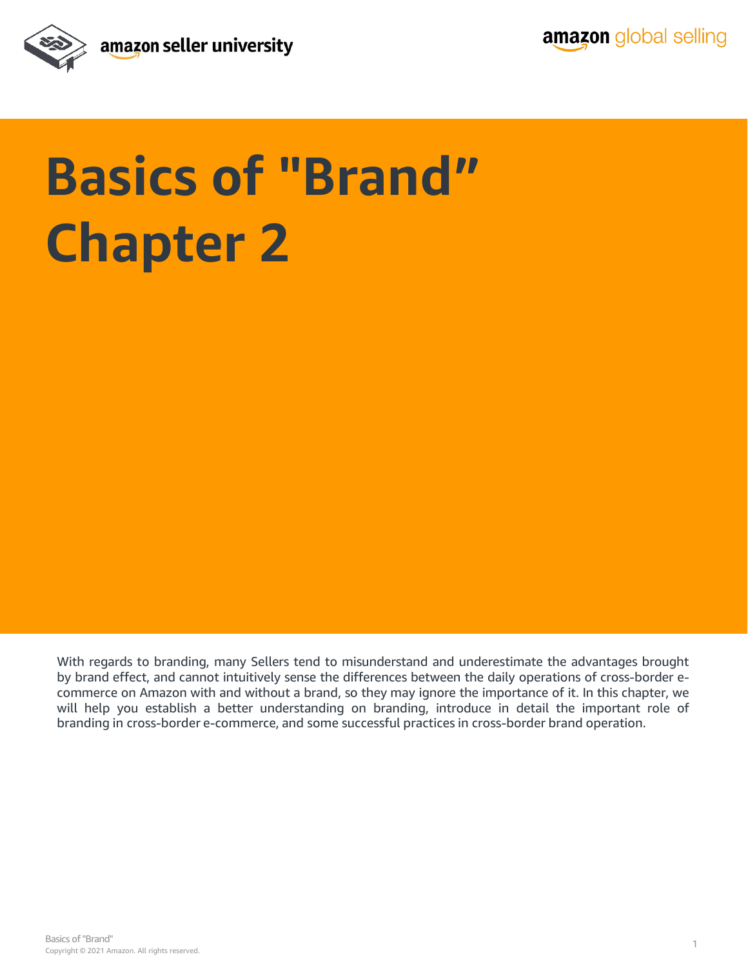

# **Basics of "Brand" Chapter 2**

With regards to branding, many Sellers tend to misunderstand and underestimate the advantages brought by brand effect, and cannot intuitively sense the differences between the daily operations of cross-border ecommerce on Amazon with and without a brand, so they may ignore the importance of it. In this chapter, we will help you establish a better understanding on branding, introduce in detail the important role of branding in cross-border e-commerce, and some successful practices in cross-border brand operation.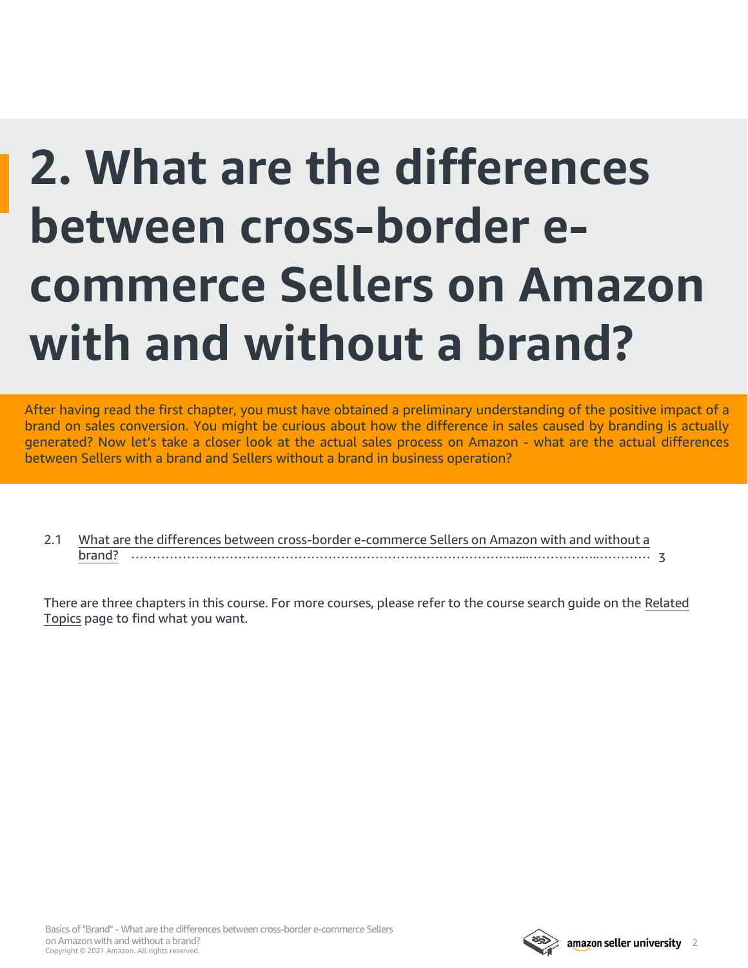### **2. What are the differences between cross-border ecommerce Sellers on Amazon with and without a brand?**

After having read the first chapter, you must have obtained a preliminary understanding of the positive impact of a brand on sales conversion. You might be curious about how the difference in sales caused by branding is actually generated? Now let's take a closer look at the actual sales process on Amazon - what are the actual differences between Sellers with a brand and Sellers without a brand in business operation?

2.1 [What are the differences between cross-border e-commerce Sellers on Amazon with and without a](#page-2-0) brand? …………………………………………………………………………….…...……………..………… 3

[There are three chapters in this course. For more courses, please refer to the course search guide on the Related](#page-5-0) Topics page to find what you want.

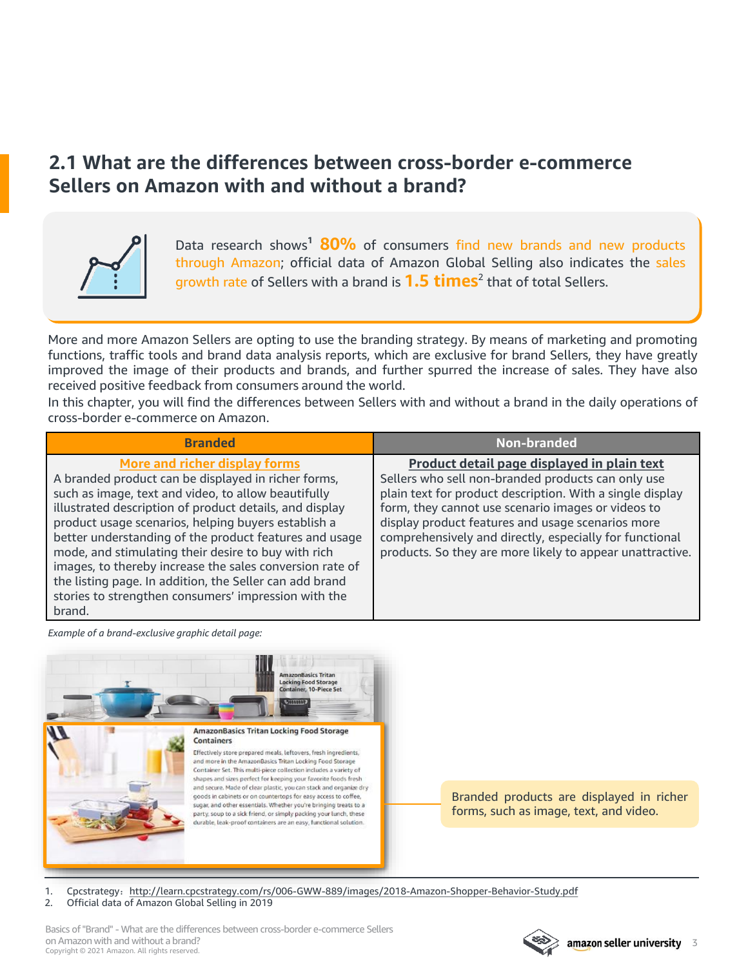#### <span id="page-2-0"></span>**2.1 What are the differences between cross-border e-commerce Sellers on Amazon with and without a brand?**



Data research shows**<sup>1</sup> 80%** of consumers find new brands and new products through Amazon; official data of Amazon Global Selling also indicates the sales growth rate of Sellers with a brand is **1.5 times**<sup>2</sup> that of total Sellers.

More and more Amazon Sellers are opting to use the branding strategy. By means of marketing and promoting functions, traffic tools and brand data analysis reports, which are exclusive for brand Sellers, they have greatly improved the image of their products and brands, and further spurred the increase of sales. They have also received positive feedback from consumers around the world.

In this chapter, you will find the differences between Sellers with and without a brand in the daily operations of cross-border e-commerce on Amazon.

| <b>Branded</b>                                                                                                                                                                                                                                                                                                                                                                                                                                                                                        | Non-branded                                                                                                                                                                                                                                                                                                                                                                                       |
|-------------------------------------------------------------------------------------------------------------------------------------------------------------------------------------------------------------------------------------------------------------------------------------------------------------------------------------------------------------------------------------------------------------------------------------------------------------------------------------------------------|---------------------------------------------------------------------------------------------------------------------------------------------------------------------------------------------------------------------------------------------------------------------------------------------------------------------------------------------------------------------------------------------------|
| More and richer display forms<br>A branded product can be displayed in richer forms,<br>such as image, text and video, to allow beautifully<br>illustrated description of product details, and display<br>product usage scenarios, helping buyers establish a<br>better understanding of the product features and usage<br>mode, and stimulating their desire to buy with rich<br>images, to thereby increase the sales conversion rate of<br>the listing page. In addition, the Seller can add brand | Product detail page displayed in plain text<br>Sellers who sell non-branded products can only use<br>plain text for product description. With a single display<br>form, they cannot use scenario images or videos to<br>display product features and usage scenarios more<br>comprehensively and directly, especially for functional<br>products. So they are more likely to appear unattractive. |
| stories to strengthen consumers' impression with the<br>brand.                                                                                                                                                                                                                                                                                                                                                                                                                                        |                                                                                                                                                                                                                                                                                                                                                                                                   |

*Example of a brand-exclusive graphic detail page:*



- 1. Cpcstrategy: <http://learn.cpcstrategy.com/rs/006-GWW-889/images/2018-Amazon-Shopper-Behavior-Study.pdf>
- 2. Official data of Amazon Global Selling in 2019

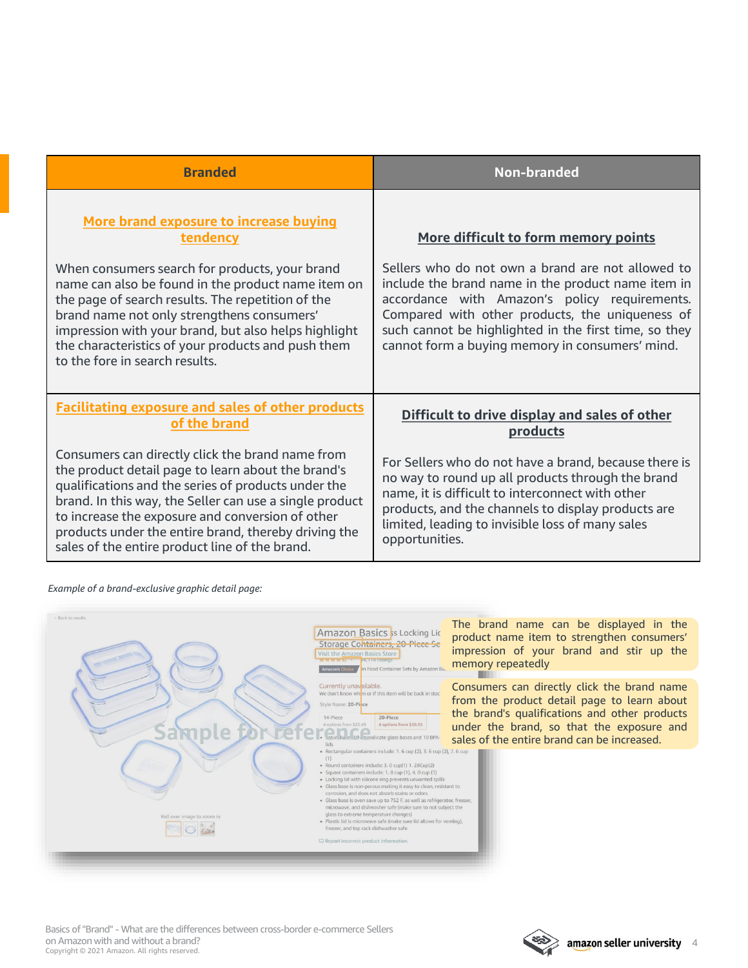| <b>Branded</b>                                                                                                                                                                                                                                                                                                                                                                                                | <b>Non-branded</b>                                                                                                                                                                                                                                                                                                                                              |
|---------------------------------------------------------------------------------------------------------------------------------------------------------------------------------------------------------------------------------------------------------------------------------------------------------------------------------------------------------------------------------------------------------------|-----------------------------------------------------------------------------------------------------------------------------------------------------------------------------------------------------------------------------------------------------------------------------------------------------------------------------------------------------------------|
| More brand exposure to increase buying<br>tendency<br>When consumers search for products, your brand<br>name can also be found in the product name item on<br>the page of search results. The repetition of the<br>brand name not only strengthens consumers'<br>impression with your brand, but also helps highlight<br>the characteristics of your products and push them<br>to the fore in search results. | More difficult to form memory points<br>Sellers who do not own a brand are not allowed to<br>include the brand name in the product name item in<br>accordance with Amazon's policy requirements.<br>Compared with other products, the uniqueness of<br>such cannot be highlighted in the first time, so they<br>cannot form a buying memory in consumers' mind. |
| <b>Facilitating exposure and sales of other products</b><br>of the brand                                                                                                                                                                                                                                                                                                                                      | Difficult to drive display and sales of other<br>products                                                                                                                                                                                                                                                                                                       |
| Consumers can directly click the brand name from<br>the product detail page to learn about the brand's<br>qualifications and the series of products under the<br>brand. In this way, the Seller can use a single product<br>to increase the exposure and conversion of other<br>products under the entire brand, thereby driving the<br>sales of the entire product line of the brand.                        | For Sellers who do not have a brand, because there is<br>no way to round up all products through the brand<br>name, it is difficult to interconnect with other<br>products, and the channels to display products are<br>limited, leading to invisible loss of many sales<br>opportunities.                                                                      |

*Example of a brand-exclusive graphic detail page:*



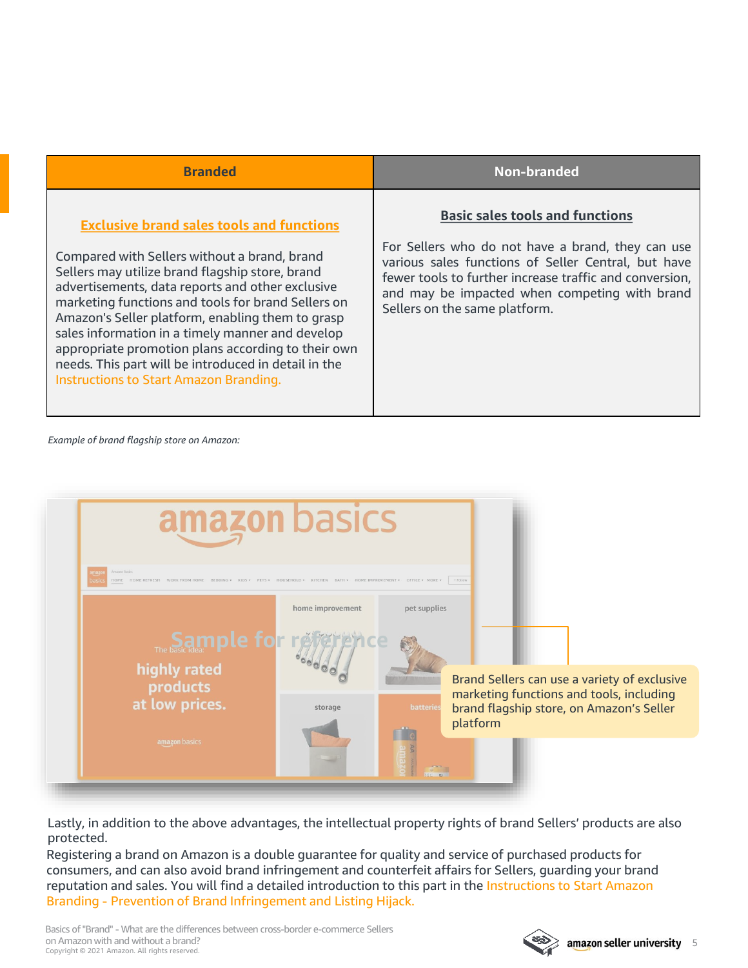| <b>Branded</b>                                                                                                                                                                                                                                                                                                                                                                                                                                                                                                                       | Non-branded                                                                                                                                                                                                                                                                                     |
|--------------------------------------------------------------------------------------------------------------------------------------------------------------------------------------------------------------------------------------------------------------------------------------------------------------------------------------------------------------------------------------------------------------------------------------------------------------------------------------------------------------------------------------|-------------------------------------------------------------------------------------------------------------------------------------------------------------------------------------------------------------------------------------------------------------------------------------------------|
| <b>Exclusive brand sales tools and functions</b><br>Compared with Sellers without a brand, brand<br>Sellers may utilize brand flagship store, brand<br>advertisements, data reports and other exclusive<br>marketing functions and tools for brand Sellers on<br>Amazon's Seller platform, enabling them to grasp<br>sales information in a timely manner and develop<br>appropriate promotion plans according to their own<br>needs. This part will be introduced in detail in the<br><b>Instructions to Start Amazon Branding.</b> | <b>Basic sales tools and functions</b><br>For Sellers who do not have a brand, they can use<br>various sales functions of Seller Central, but have<br>fewer tools to further increase traffic and conversion,<br>and may be impacted when competing with brand<br>Sellers on the same platform. |

*Example of brand flagship store on Amazon:*



Lastly, in addition to the above advantages, the intellectual property rights of brand Sellers' products are also protected.

Registering a brand on Amazon is a double guarantee for quality and service of purchased products for consumers, and can also avoid brand infringement and counterfeit affairs for Sellers, guarding your brand reputation and sales. You will find a detailed introduction to this part in the Instructions to Start Amazon Branding - Prevention of Brand Infringement and Listing Hijack.

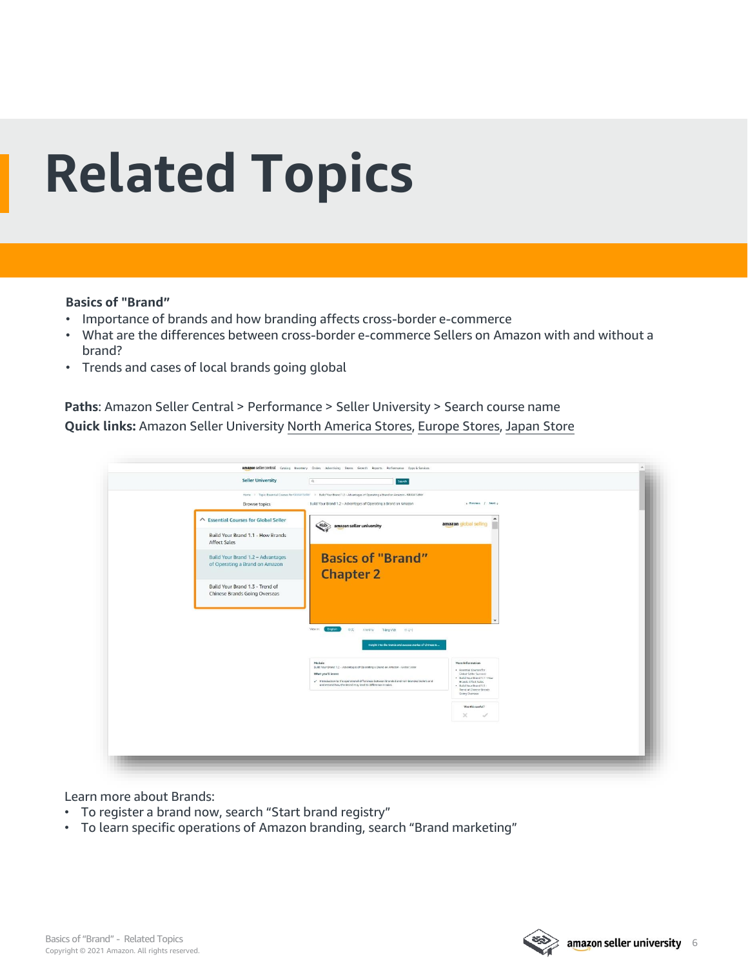# <span id="page-5-0"></span>**Related Topics**

#### **Basics of "Brand"**

- Importance of brands and how branding affects cross-border e-commerce
- What are the differences between cross-border e-commerce Sellers on Amazon with and without a brand?
- Trends and cases of local brands going global

**Paths**: Amazon Seller Central > Performance > Seller University > Search course name **Quick links:** Amazon Seller University [North America Stores](https://sellercentral.amazon.com/learn/ref=xx_su_dnav_xx?ref_=xx_swlang_head_xx&mons_sel_locale=en_US&languageSwitched=1), [Europe Stores](https://sellercentral.amazon.co.uk/learn/ref=xx_su_dnav_xx?ref_=xx_swlang_head_xx&mons_sel_locale=en_DE&languageSwitched=1), [Japan Store](https://sellercentral-japan.amazon.com/learn/ref=xx_su_dnav_xx?ref_=xx_swlang_head_xx&mons_sel_locale=en_JP&languageSwitched=1)

| <b>Seller University</b>                                 | Search<br>Q                                                                                                                         |                                                                                                         |  |
|----------------------------------------------------------|-------------------------------------------------------------------------------------------------------------------------------------|---------------------------------------------------------------------------------------------------------|--|
|                                                          | Home > Topic Exvential Courses for Global Seller > Build Your Brand 1.2 - Advantages of Operating a Brand on Amazon - Global Seller |                                                                                                         |  |
| <b>Browse topics</b>                                     | Build Your Brand 1.2 - Advantages of Operating a Brand on Amazon                                                                    | c Previous / Next a                                                                                     |  |
| △ Essential Courses for Global Seller                    | amazon seller university                                                                                                            | $\blacktriangle$<br>amazon global selling                                                               |  |
| Build Your Brand 1.1 - How Brands<br><b>Affect Sales</b> |                                                                                                                                     |                                                                                                         |  |
| Build Your Brand 1.2 - Advantages                        | <b>Basics of "Brand"</b>                                                                                                            |                                                                                                         |  |
| of Operating a Brand on Amazon                           | <b>Chapter 2</b>                                                                                                                    |                                                                                                         |  |
| Build Your Brand 1.3 - Trend of                          |                                                                                                                                     |                                                                                                         |  |
| <b>Chinese Brands Going Overseas</b>                     |                                                                                                                                     |                                                                                                         |  |
|                                                          |                                                                                                                                     |                                                                                                         |  |
|                                                          | View an:<br>English<br>中文<br>aning to<br>Tring Việt 아구어                                                                             |                                                                                                         |  |
|                                                          | Insight into the trends and success stories of Chinese B                                                                            |                                                                                                         |  |
|                                                          | Module<br>Build Your Brand 1.2 - Advantages of Operating a Brand on Amazon - Global Seller                                          | More Information                                                                                        |  |
|                                                          | What you'll learn:<br>Introduction to the operational differences between branded and non-branded Sellers and                       | . Essential Courses for<br>Global Seller Success<br>. Build Your Brand 1.1 - How<br>Brands Affect Salas |  |
|                                                          | understand how the Brand may lead to difference in sales.                                                                           | . Build Your Brand 1.3 -<br>Trend of Chinese Brands<br>Going Oversexs                                   |  |
|                                                          |                                                                                                                                     | Was this useful?                                                                                        |  |
|                                                          |                                                                                                                                     | $\times$<br>$\checkmark$                                                                                |  |
|                                                          |                                                                                                                                     |                                                                                                         |  |
|                                                          |                                                                                                                                     |                                                                                                         |  |

Learn more about Brands:

- To register a brand now, search "Start brand registry"
- To learn specific operations of Amazon branding, search "Brand marketing"